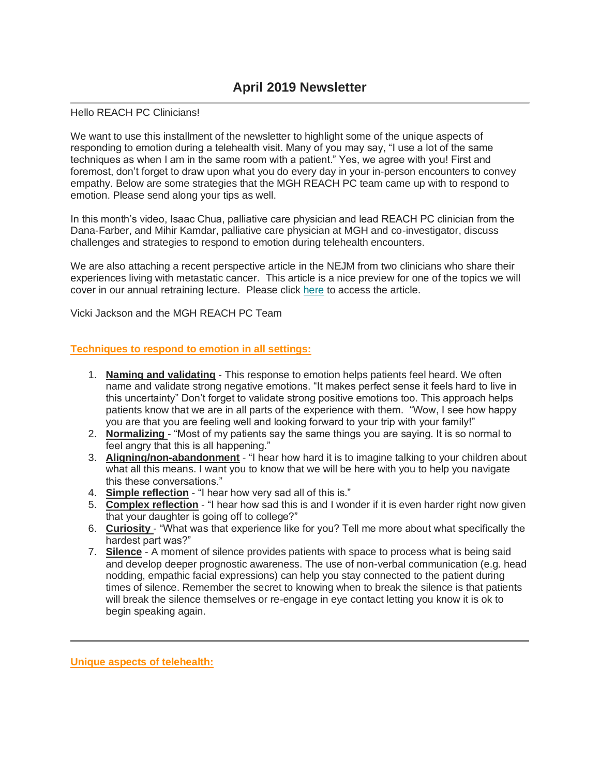## Hello REACH PC Clinicians!

We want to use this installment of the newsletter to highlight some of the unique aspects of responding to emotion during a telehealth visit. Many of you may say, "I use a lot of the same techniques as when I am in the same room with a patient." Yes, we agree with you! First and foremost, don't forget to draw upon what you do every day in your in-person encounters to convey empathy. Below are some strategies that the MGH REACH PC team came up with to respond to emotion. Please send along your tips as well.

In this month's video, Isaac Chua, palliative care physician and lead REACH PC clinician from the Dana-Farber, and Mihir Kamdar, palliative care physician at MGH and co-investigator, discuss challenges and strategies to respond to emotion during telehealth encounters.

We are also attaching a recent perspective article in the NEJM from two clinicians who share their experiences living with metastatic cancer. This article is a nice preview for one of the topics we will cover in our annual retraining lecture. Please click [here](https://gallery.mailchimp.com/fd7dedd724375b4d8bb2676f0/files/fec53a88-da4a-4050-825f-ae72b8542476/Time_to_Study_Metastatic_Cancer_Survivorship.pdf) to access the article.

Vicki Jackson and the MGH REACH PC Team

## **Techniques to respond to emotion in all settings:**

- 1. **Naming and validating** This response to emotion helps patients feel heard. We often name and validate strong negative emotions. "It makes perfect sense it feels hard to live in this uncertainty" Don't forget to validate strong positive emotions too. This approach helps patients know that we are in all parts of the experience with them. "Wow, I see how happy you are that you are feeling well and looking forward to your trip with your family!"
- 2. **Normalizing** "Most of my patients say the same things you are saying. It is so normal to feel angry that this is all happening."
- 3. **Aligning/non-abandonment** "I hear how hard it is to imagine talking to your children about what all this means. I want you to know that we will be here with you to help you navigate this these conversations."
- 4. **Simple reflection** "I hear how very sad all of this is."
- 5. **Complex reflection** "I hear how sad this is and I wonder if it is even harder right now given that your daughter is going off to college?"
- 6. **Curiosity** "What was that experience like for you? Tell me more about what specifically the hardest part was?"
- 7. **Silence** A moment of silence provides patients with space to process what is being said and develop deeper prognostic awareness. The use of non-verbal communication (e.g. head nodding, empathic facial expressions) can help you stay connected to the patient during times of silence. Remember the secret to knowing when to break the silence is that patients will break the silence themselves or re-engage in eye contact letting you know it is ok to begin speaking again.